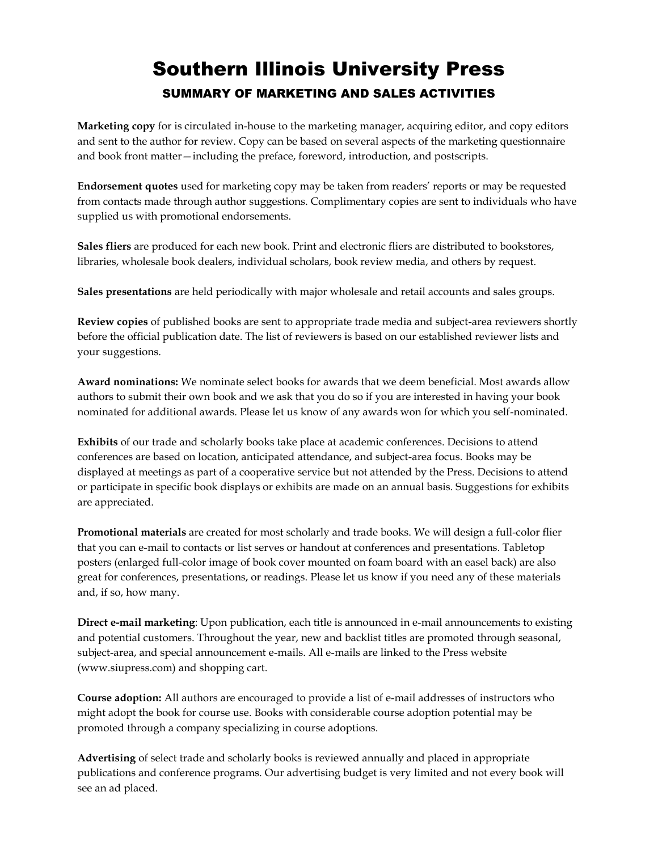## Southern Illinois University Press SUMMARY OF MARKETING AND SALES ACTIVITIES

**Marketing copy** for is circulated in-house to the marketing manager, acquiring editor, and copy editors and sent to the author for review. Copy can be based on several aspects of the marketing questionnaire and book front matter—including the preface, foreword, introduction, and postscripts.

**Endorsement quotes** used for marketing copy may be taken from readers' reports or may be requested from contacts made through author suggestions. Complimentary copies are sent to individuals who have supplied us with promotional endorsements.

**Sales fliers** are produced for each new book. Print and electronic fliers are distributed to bookstores, libraries, wholesale book dealers, individual scholars, book review media, and others by request.

**Sales presentations** are held periodically with major wholesale and retail accounts and sales groups.

**Review copies** of published books are sent to appropriate trade media and subject-area reviewers shortly before the official publication date. The list of reviewers is based on our established reviewer lists and your suggestions.

**Award nominations:** We nominate select books for awards that we deem beneficial. Most awards allow authors to submit their own book and we ask that you do so if you are interested in having your book nominated for additional awards. Please let us know of any awards won for which you self-nominated.

**Exhibits** of our trade and scholarly books take place at academic conferences. Decisions to attend conferences are based on location, anticipated attendance, and subject-area focus. Books may be displayed at meetings as part of a cooperative service but not attended by the Press. Decisions to attend or participate in specific book displays or exhibits are made on an annual basis. Suggestions for exhibits are appreciated.

**Promotional materials** are created for most scholarly and trade books. We will design a full-color flier that you can e-mail to contacts or list serves or handout at conferences and presentations. Tabletop posters (enlarged full-color image of book cover mounted on foam board with an easel back) are also great for conferences, presentations, or readings. Please let us know if you need any of these materials and, if so, how many.

**Direct e-mail marketing**: Upon publication, each title is announced in e-mail announcements to existing and potential customers. Throughout the year, new and backlist titles are promoted through seasonal, subject-area, and special announcement e-mails. All e-mails are linked to the Press website (www.siupress.com) and shopping cart.

**Course adoption:** All authors are encouraged to provide a list of e-mail addresses of instructors who might adopt the book for course use. Books with considerable course adoption potential may be promoted through a company specializing in course adoptions.

**Advertising** of select trade and scholarly books is reviewed annually and placed in appropriate publications and conference programs. Our advertising budget is very limited and not every book will see an ad placed.